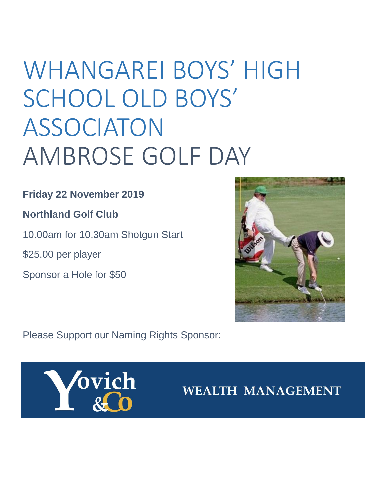# WHANGAREI BOYS' HIGH SCHOOL OLD BOYS' ASSOCIATON AMBROSE GOLF DAY

## **Friday 22 November 2019**

## **Northland Golf Club**

10.00am for 10.30am Shotgun Start

\$25.00 per player

Sponsor a Hole for \$50



Please Support our Naming Rights Sponsor:



**WEALTH MANAGEMENT**